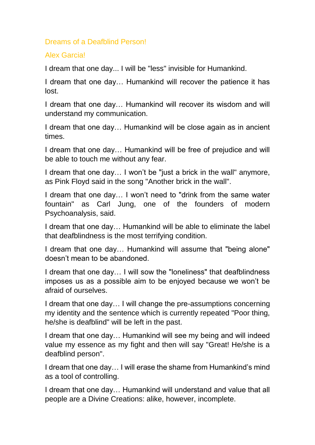## Dreams of a Deafblind Person!

## Alex Garcia!

I dream that one day... I will be "less" invisible for Humankind.

I dream that one day… Humankind will recover the patience it has lost.

I dream that one day… Humankind will recover its wisdom and will understand my communication.

I dream that one day… Humankind will be close again as in ancient times.

I dream that one day… Humankind will be free of prejudice and will be able to touch me without any fear.

I dream that one day… I won't be "just a brick in the wall" anymore, as Pink Floyd said in the song "Another brick in the wall".

I dream that one day… I won't need to "drink from the same water fountain" as Carl Jung, one of the founders of modern Psychoanalysis, said.

I dream that one day… Humankind will be able to eliminate the label that deafblindness is the most terrifying condition.

I dream that one day… Humankind will assume that "being alone" doesn't mean to be abandoned.

I dream that one day… I will sow the "loneliness" that deafblindness imposes us as a possible aim to be enjoyed because we won't be afraid of ourselves.

I dream that one day… I will change the pre-assumptions concerning my identity and the sentence which is currently repeated "Poor thing, he/she is deafblind" will be left in the past.

I dream that one day… Humankind will see my being and will indeed value my essence as my fight and then will say "Great! He/she is a deafblind person".

I dream that one day… I will erase the shame from Humankind's mind as a tool of controlling.

I dream that one day… Humankind will understand and value that all people are a Divine Creations: alike, however, incomplete.